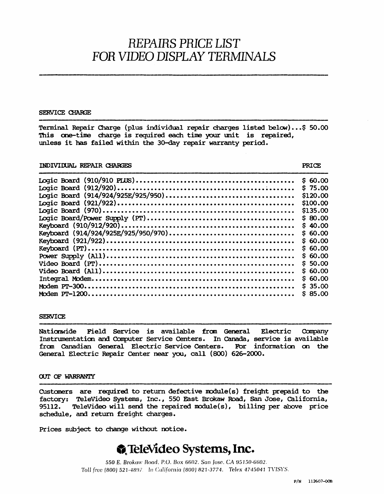# *REPAIRS PRICE LIST FOR VIDEO DISPLAY TERMINALS*

### SERVICE CHARGE

Terminal Repair Charge (plus individual repair charges listed below) ••• \$ 50.00 This one-time charge is required each time your unit is repaired, unless it has failed within the 30-day repair warranty period.

# INDIVIDUAL REPAIR CHARGES PRICE

|                                     | \$60.00  |
|-------------------------------------|----------|
|                                     | \$75.00  |
|                                     | \$120.00 |
|                                     | \$100,00 |
|                                     | \$135.00 |
|                                     | \$80.00  |
|                                     | \$40.00  |
| Keyboard (914/924/925E/925/950/970) | \$60.00  |
|                                     | \$60.00  |
|                                     | \$60.00  |
|                                     | \$60.00  |
|                                     | \$50.00  |
|                                     | \$60.00  |
|                                     | \$60.00  |
|                                     | \$35.00  |
|                                     | \$85.00  |
|                                     |          |

# **SERVICE**

Naticnwide Field Service is available fran General. Electric canpany Instrumentation and Computer Service Centers. In Canada, service is available from Canadian General Electric Service Centers. For information on the from Canadian General Electric Service Centers. For information Ceneral Electric Repair Center near you, call (800) 626-2000.

# OUT OF WARRANTY

Customers are required to return defective module(s) freight prepaid to the factory: TeleVideo Systems, Inc., 550 East Brokaw Road, San Jose, california, 95112. TeleVideo will send the repaired module(s), billing per above price schedule, and return freight charges.

Prices subject to change without notice •

# **A** TeleVideo Systems, Inc.

550 E. Brokaw Road. P.O. Box 6602. San Jose. CA 95150-6602. Toll free (800) 521-4897. In California (800) 821-3774. Telex 4745041 TVISYS.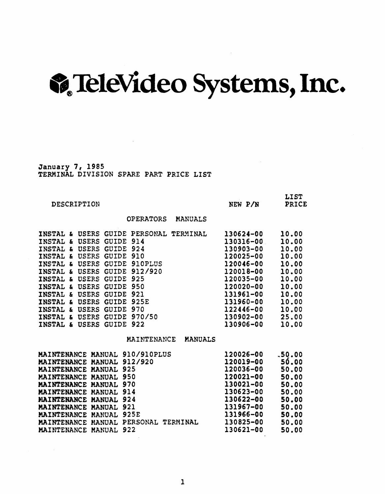# .~ TeleVideo Systems, Inc.

January 7, 1985 TERMINAL DIVISION SPARE PART PRICE LIST

| DESCRIPTION                                                                                                                                                                                                                                                                                                                                                                                                                                                                                                                                                                                                                                          | NEW P/N                                                                                                                                                               | <b>LIST</b><br>PRICE                                                                                              |
|------------------------------------------------------------------------------------------------------------------------------------------------------------------------------------------------------------------------------------------------------------------------------------------------------------------------------------------------------------------------------------------------------------------------------------------------------------------------------------------------------------------------------------------------------------------------------------------------------------------------------------------------------|-----------------------------------------------------------------------------------------------------------------------------------------------------------------------|-------------------------------------------------------------------------------------------------------------------|
| <b>OPERATORS</b><br><b>MANUALS</b>                                                                                                                                                                                                                                                                                                                                                                                                                                                                                                                                                                                                                   |                                                                                                                                                                       |                                                                                                                   |
| INSTAL & USERS<br><b>GUIDE PERSONAL</b><br>TERMINAL<br>INSTAL &<br>GUIDE 914<br><b>USERS</b><br>GUIDE 924<br>INSTAL &<br><b>USERS</b><br><b>USERS</b><br><b>GUIDE</b><br>910<br><b>INSTAL</b><br>£<br><b>GUIDE 910PLUS</b><br>INSTAL &<br><b>USERS</b><br><b>GUIDE 912/920</b><br>INSTAL &<br><b>USERS</b><br><b>INSTAL</b><br><b>USERS</b><br><b>GUIDE</b><br>925<br>£.<br>INSTAL &<br><b>USERS</b><br>GUIDE 950<br>INSTAL &<br>GUIDE 921<br><b>USERS</b><br>INSTAL &<br><b>USERS</b><br><b>GUIDE</b><br>925E<br>INSTAL & USERS GUIDE 970<br>INSTAL &<br><b>USERS</b><br>GUIDE 970/50<br><b>INSTAL</b><br><b>USERS</b><br>GUIDE 922<br>$\mathbf{f}$ | 130624-00<br>130316-00<br>130903-00<br>120025-00<br>120046-00<br>120018-00<br>120035-00<br>120020-00<br>131961-00<br>131960-00<br>122446-00<br>130902-00<br>130906-00 | 10.00<br>10.00<br>10.00<br>10.00<br>10.00<br>10.00<br>10.00<br>10.00<br>10.00<br>10.00<br>10.00<br>25.00<br>10.00 |
| MAINTENANCE<br><b>MANUALS</b>                                                                                                                                                                                                                                                                                                                                                                                                                                                                                                                                                                                                                        |                                                                                                                                                                       |                                                                                                                   |
| MAINTENANCE MANUAL 910/910PLUS<br>MAINTENANCE MANUAL 912/920<br>MAINTENANCE MANUAL<br>925<br>950<br><b>MAINTENANCE MANUAL</b><br>MAINTENANCE MANUAL 970<br>914<br><b>MAINTENANCE MANUAL</b><br>MAINTENANCE MANUAL 924<br><b>MAINTENANCE MANUAL 921</b><br>925E<br><b>MAINTENANCE MANUAL</b><br>PERSONAL TERMINAL<br><b>MAINTENANCE MANUAL</b><br>922<br><b>MAINTENANCE MANUAL</b>                                                                                                                                                                                                                                                                    | 120026-00<br>120019-00<br>120036-00<br>120021-00<br>130021-00<br>130623-00<br>130622-00<br>131967-00<br>131966-00<br>130825-00<br>130621-00                           | $-50.00$<br>50.00<br>50.00<br>50.00<br>50.00<br>50.00<br>50.00<br>50.00<br>50.00<br>50.00<br>50.00                |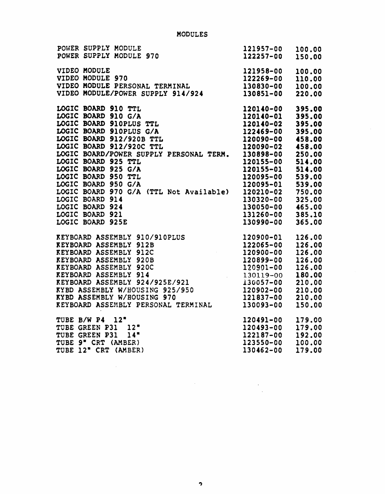| POWER SUPPLY MODULE<br>POWER SUPPLY MODULE 970                                                                                                                                                                                                                                                                                                                                            | 121957-00<br>122257-00                                                                                                                                                                                                                   | 100.00<br>150.00                                                                                                     |
|-------------------------------------------------------------------------------------------------------------------------------------------------------------------------------------------------------------------------------------------------------------------------------------------------------------------------------------------------------------------------------------------|------------------------------------------------------------------------------------------------------------------------------------------------------------------------------------------------------------------------------------------|----------------------------------------------------------------------------------------------------------------------|
| VIDEO MODULE<br>VIDEO MODULE 970<br>VIDEO MODULE PERSONAL TERMINAL<br>VIDEO MODULE/POWER SUPPLY 914/924                                                                                                                                                                                                                                                                                   | 121958-00<br>122269-00<br>130830-00<br>130851-00                                                                                                                                                                                         | 100.00<br>110.00<br>100.00<br>220.00                                                                                 |
| LOGIC BOARD 910 TTL<br>LOGIC BOARD 910 G/A<br>LOGIC BOARD 910PLUS TTL<br>LOGIC BOARD 910PLUS G/A<br>LOGIC BOARD 912/920B TTL<br>LOGIC BOARD 912/920C TTL<br>LOGIC BOARD 912/920C TTL<br>LOGIC BOARD/POWER SUPPLY PERSONAL TERM.<br>LOGIC BOARD 925 TTL<br>LOGIC BOARD 925 G/A<br>LOGIC BOARD 950 TTL<br>LOGIC BOARD 950 G/A<br>LOGIC BOARD 970 G/A (TTL Not Available)<br>LOGIC BOARD 914 | 120140-00<br>120140-01<br>120140-02<br>122469-00<br>120090-00<br>120090-02 458.00<br>130898-00 250.00<br>120155-00<br>120155-01<br>120095-00<br>120095-01<br>120210-02 750.00<br>130320-00<br>130050-00 465.00<br>131260-00<br>130990-00 | 395.00<br>395.00<br>395.00<br>395.00<br>458.00<br>514.00<br>514.00<br>539.00<br>539.00<br>325.00<br>385.10<br>365.00 |
| LOGIC BOARD >2.<br>LOGIC BOARD 921<br>LOGIC BOARD 925E<br>REYBOARD ASSEMBLY 910/910PLUS<br>REYBOARD ASSEMBLY 912B<br>REYBOARD ASSEMBLY 912C<br>REYBOARD ASSEMBLY 920B<br>REYBOARD ASSEMBLY 920B<br>REYBOARD ASSEMBLY 920B<br>REYBOARD ASSEMBLY 9<br>RYBD ASSEMBLY W/HOUSING 925/950<br>RYBD ASSEMBLY W/HOUSING 970<br>KYBD ASSEMBLY W/HOUSING 970<br>REYBOARD ASSEMBLY PERSONAL TERMINAL  | 120900-01<br>122065-00<br>120900-00<br>120899-00<br>120901-00<br>130119-00<br>130057-00<br>120902-00<br>121837-00<br>130093-00                                                                                                           | 126.00<br>126.00<br>126.00<br>126.00<br>126.00<br>180.00<br>210.00<br>210.00<br>210.00<br>150.00                     |
| TUBE B/W P4 12"<br>TUBE GREEN P31 12"<br>TUBE GREEN P31 14"<br>TUBE 9" CRT (AMBER)<br>TUBE 12" CRT (AMBER)                                                                                                                                                                                                                                                                                | 120491-00<br>120493-00<br>122187-00<br>123550-00<br>130462-00                                                                                                                                                                            | 179.00<br>179.00<br>192.00<br>100.00<br>179.00                                                                       |

 $\bar{z}$ 

 $\sim$   $\sim$ 

 $\ddot{\phantom{a}}$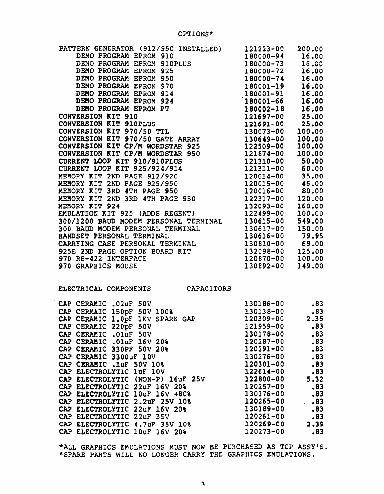| PATTERN GENERATOR (912/950 INSTALLED)                                                                                                                                                         | 121223-00       | 200.00 |
|-----------------------------------------------------------------------------------------------------------------------------------------------------------------------------------------------|-----------------|--------|
| DEMO PROGRAM EPROM 910                                                                                                                                                                        | 180000-94       | 16.00  |
| DEMO PROGRAM EPROM 910PLUS                                                                                                                                                                    | 180000-73       | 16.00  |
| DEMO PROGRAM EPROM 925                                                                                                                                                                        | 180000-72       | 16.00  |
| DEMO PROGRAM EPROM 950                                                                                                                                                                        | 180000-74       | 16.00  |
| DEMO PROGRAM EPROM 970                                                                                                                                                                        | 180001-19       | 16.00  |
| DEMO PROGRAM EPROM 914                                                                                                                                                                        | 180001-91       | 16.00  |
| DEMO PROGRAM EPROM 924                                                                                                                                                                        | 180001-66       | 16.00  |
| DEMO PROGRAM EPROM PT                                                                                                                                                                         | 180002-18       | 16.00  |
| CONVERSION KIT 910                                                                                                                                                                            | 121697-00       | 25.00  |
| CONVERSION KIT 910PLUS                                                                                                                                                                        | 121691-00       | 25.00  |
| CONVERSION KIT 970/50 TTL                                                                                                                                                                     | 130073-00       | 100.00 |
| CONVERSION KIT 970/50 GATE ARRAY                                                                                                                                                              | 130649-00       | 100.00 |
| CONVERSION KIT CP/M WORDSTAR 925                                                                                                                                                              | 122509-00       | 100.00 |
|                                                                                                                                                                                               | 121874-00       | 100.00 |
|                                                                                                                                                                                               | 121310-00 50.00 |        |
|                                                                                                                                                                                               | 121311-00 60.00 |        |
| CONVERSION KIT CP/M WORDSTAR 950<br>CURRENT LOOP KIT 910/910PLUS<br>CURRENT LOOP KIT 925/924/914<br>MEMORY KIT 2ND PAGE 912/920<br>MEMORY KIT 2ND PAGE 925/950<br>MEMORY KIT 2ND PAGE 925/950 | 120014-00       | 35.00  |
|                                                                                                                                                                                               | 120015-00       | 46.00  |
| MEMORY KIT 3RD 4TH PAGE 950                                                                                                                                                                   | 120016-00       | 80.00  |
| MEMORY KIT 2ND 3RD 4TH PAGE 950                                                                                                                                                               | 122317-00       | 120.00 |
| MEMORY KIT 924                                                                                                                                                                                | 132093-00       | 160.00 |
| EMULATION KIT 925 (ADDS REGENT)                                                                                                                                                               | 122499-00       | 100.00 |
| 300/1200 BAUD MODEM PERSONAL TERMINAL 130615-00                                                                                                                                               |                 | 549.00 |
| 300 BAUD MODEM PERSONAL TERMINAL                                                                                                                                                              | 130617-00       | 150.00 |
| HANDSET PERSONAL TERMINAL                                                                                                                                                                     | 130616-00       | 79.95  |
| CARRYING CASE PERSONAL TERMINAL 130810-00 69.00                                                                                                                                               |                 |        |
| 925E 2ND PAGE OPTION BOARD KIT                                                                                                                                                                | 132098-00       | 125.00 |
| 970 RS-422 INTERFACE                                                                                                                                                                          | 120870-00       | 100.00 |
| 970 GRAPHICS MOUSE                                                                                                                                                                            | 130892-00       | 149.00 |
|                                                                                                                                                                                               |                 |        |

ELECTRICAL COMPONENTS CAPACITORS

 $\lambda$ 

| CAP CERAMIC .02uF 50V      |                                   | 130186-00 | .83  |
|----------------------------|-----------------------------------|-----------|------|
|                            | CAP CERMAIC 150pF 50V 100%        | 130138-00 | .83  |
|                            | CAP CERAMIC 1.0pF 1KV SPARK GAP   | 120309-00 | 2.35 |
| CAP CERAMIC 220pF 50V      |                                   | 121959-00 | .83  |
| CAP CERAMIC . 01uF 50V     |                                   | 130178-00 | .83  |
| CAP CERAMIC . 01uF 16V 20% |                                   | 120287-00 | .83  |
| CAP CERAMIC 330PF 50V 20%  |                                   | 120291-00 | .83  |
| CAP CERAMIC 3300uF 10V     |                                   | 130276-00 | .83  |
| CAP CERAMIC .1uF 50V 10%   |                                   | 120301-00 | .83  |
| CAP ELECTROLYTIC luf 10V   |                                   | 122614-00 | .83  |
|                            | CAP ELECTROLYTIC (NON-P) 16uF 25V | 122800-00 | 5.32 |
|                            | CAP ELECTROLYTIC 22uF 16V 20%     | 120257-00 | .83  |
|                            | CAP ELECTROLYTIC 10uF 16V +80%    | 130176-00 | .83  |
|                            | CAP ELECTROLYTIC 2.2uF 25V 10%    | 120265-00 | .83  |
|                            | CAP ELECTROLYTIC 22uF 16V 20%     | 130189-00 | .83  |
| CAP ELECTROLYTIC 22uF 35V  |                                   | 120261-00 | .83  |
|                            | CAP ELECTROLYTIC 4.7uF 35V 10%    | 120269-00 | 2.39 |
|                            | CAP ELECTROLYTIC 10uF 16V 20%     | 120273-00 | .83  |
|                            |                                   |           |      |

·ALL GRAPHICS EMULATIONS MUST NOW BE PURCHASED AS TOP ASSY'S. \*SPARE PARTS WILL NO LONGER CARRY THE GRAPHICS EMULATIONS.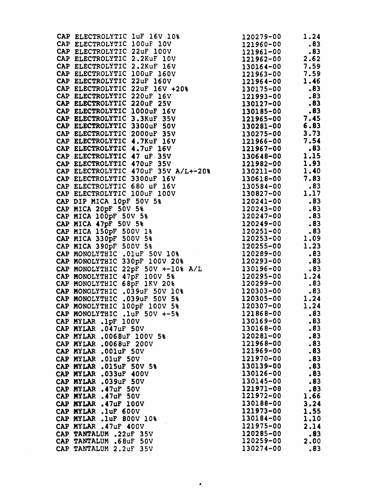|                                                                                                                                                                                                                                                                                                                                                                                                                                              |           | 7.83                                       |
|----------------------------------------------------------------------------------------------------------------------------------------------------------------------------------------------------------------------------------------------------------------------------------------------------------------------------------------------------------------------------------------------------------------------------------------------|-----------|--------------------------------------------|
|                                                                                                                                                                                                                                                                                                                                                                                                                                              |           | .83                                        |
|                                                                                                                                                                                                                                                                                                                                                                                                                                              |           | $\begin{array}{c} 1.17 \\ .83 \end{array}$ |
|                                                                                                                                                                                                                                                                                                                                                                                                                                              |           |                                            |
|                                                                                                                                                                                                                                                                                                                                                                                                                                              |           | .83                                        |
|                                                                                                                                                                                                                                                                                                                                                                                                                                              |           | .83                                        |
|                                                                                                                                                                                                                                                                                                                                                                                                                                              |           | .83                                        |
|                                                                                                                                                                                                                                                                                                                                                                                                                                              |           | .83                                        |
|                                                                                                                                                                                                                                                                                                                                                                                                                                              |           | 1.09                                       |
| CAP ELECTROLYTIC 3300uF 16V<br>CAP ELECTROLYTIC 680 uF 16V<br>CAP ELECTROLYTIC 680 uF 16V<br>CAP ELECTROLYTIC 100uF 100V<br>CAP BIP MICA 10pF 50V 5%<br>CAP MICA 20pF 50V 5%<br>CAP MICA 100pF 50V 5%<br>CAP MICA 47pF 50V 5%<br>CAP MICA 47pF<br>CAP MICA 390pF 500V 5%<br>CAP MONOLYTHIC .01uF 50V 10%<br>CAP MONOLYTHIC 330pF 100V 20%<br>CAP MONOLYTHIC 330pF 100V 20%<br>CAP MONOLYTHIC 330pF 100V 20%<br>CAP MONOLYTHIC 330pF 100V 20% |           | 1.23                                       |
|                                                                                                                                                                                                                                                                                                                                                                                                                                              |           | .83                                        |
|                                                                                                                                                                                                                                                                                                                                                                                                                                              |           | .83                                        |
| CAP MONOLYTHIC 22pF 50V $+-10$ <sup>8</sup> A/L 130196-00                                                                                                                                                                                                                                                                                                                                                                                    |           | .83                                        |
|                                                                                                                                                                                                                                                                                                                                                                                                                                              |           |                                            |
| CAP MONOLYTHIC 47pF 100V 5%<br>CAP MONOLYTHIC 68pF 1KV 20%<br>CAP MONOLYTHIC .039uF 50V 10%<br>CAP MONOLYTHIC .039uF 50V 10%<br>CAP MONOLYTHIC .039uF 50V 5%<br>CAP MONOLYTHIC 100pF 100V 5%<br>CAP MONOLYTHIC 100pF 100V 5%<br>CAP MONOLYTH                                                                                                                                                                                                 |           |                                            |
|                                                                                                                                                                                                                                                                                                                                                                                                                                              |           |                                            |
|                                                                                                                                                                                                                                                                                                                                                                                                                                              |           |                                            |
|                                                                                                                                                                                                                                                                                                                                                                                                                                              |           |                                            |
| CAP MONOLYTHIC .1uF 50V +-5%                                                                                                                                                                                                                                                                                                                                                                                                                 | 121868-00 | .83                                        |
| CAP MYLAR .1pF 100V                                                                                                                                                                                                                                                                                                                                                                                                                          | 130169-00 | .83                                        |
| CAP MYLAR .047uF 50V                                                                                                                                                                                                                                                                                                                                                                                                                         | 130168-00 | .83                                        |
| CAP MYLAR .0068uF 100V 5%                                                                                                                                                                                                                                                                                                                                                                                                                    | 120281-00 | .83                                        |
| CAP MYLAR .0068uF 200V                                                                                                                                                                                                                                                                                                                                                                                                                       | 121968-00 | .83                                        |
| CAP MYLAR .001uF 50V                                                                                                                                                                                                                                                                                                                                                                                                                         | 121969-00 | .83                                        |
| CAP MYLAR . OluF 50V                                                                                                                                                                                                                                                                                                                                                                                                                         | 121970-00 | .83                                        |
| CAP MYLAR .015uF 50V 5%                                                                                                                                                                                                                                                                                                                                                                                                                      | 130139-00 | .83                                        |
| CAP MYLAR .033uF 400V                                                                                                                                                                                                                                                                                                                                                                                                                        | 130126-00 | .83                                        |
| CAP MYLAR .039uF 50V                                                                                                                                                                                                                                                                                                                                                                                                                         | 130145-00 | .83                                        |
| CAP MYLAR .47uF 50V                                                                                                                                                                                                                                                                                                                                                                                                                          | 121971-00 | .83                                        |
| CAP MYLAR .47uF 50V                                                                                                                                                                                                                                                                                                                                                                                                                          | 121972-00 | 1.66                                       |
| CAP MYLAR .47uF 100V                                                                                                                                                                                                                                                                                                                                                                                                                         | 130188-00 | 3.24                                       |
| CAP MYLAR . luf 600V                                                                                                                                                                                                                                                                                                                                                                                                                         | 121973-00 | 1.55                                       |
| CAP MYLAR<br>.1uF 800V 10%                                                                                                                                                                                                                                                                                                                                                                                                                   | 130184-00 | 1.10                                       |
| CAP MYLAR .47uF 400V                                                                                                                                                                                                                                                                                                                                                                                                                         | 121975-00 | 2.14                                       |
| CAP TANTALUM .22uF 35V                                                                                                                                                                                                                                                                                                                                                                                                                       | 120285-00 | .83                                        |
| CAP TANTALUM .68uF 50V                                                                                                                                                                                                                                                                                                                                                                                                                       | 120259-00 | 2.00                                       |
| CAP TANTALUM 2.2uF 35V                                                                                                                                                                                                                                                                                                                                                                                                                       | 130274-00 | .83                                        |
|                                                                                                                                                                                                                                                                                                                                                                                                                                              |           |                                            |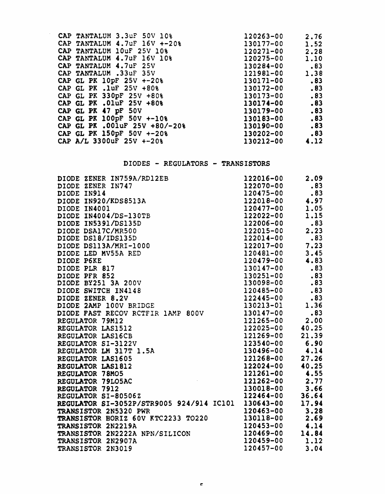| CAP TANTALUM 3.3uF 50V 10%                         | 120263-00 | 2.76 |
|----------------------------------------------------|-----------|------|
| CAP TANTALUM $4.7\mathrm{uF}$ 16V $+-20\mathrm{s}$ | 130177-00 | 1.52 |
| CAP TANTALUM 10uF 25V 10%                          | 120271-00 | 2.28 |
| CAP TANTALUM 4.7uF 16V 10%                         | 120275-00 | 1.10 |
| CAP TANTALUM 4.7uF 25V                             | 130284-00 | .83  |
| CAP TANTALUM .33uF 35V                             | 121981-00 | 1.38 |
| CAP GL PK 10pF 25V +-20%                           | 130171-00 | .83  |
| CAP GL PK .1uF $25V + 80%$                         | 130172-00 | .83  |
| CAP GL PK 330pF 25V +80%                           | 130173-00 | .83  |
| CAP GL PK .01uF 25V +80%                           | 130174-00 | .83  |
| CAP GL PK 47 pF 50V                                | 130179-00 | .83  |
| CAP GL PK 100pF 50V +-10%                          | 130183-00 | .83  |
| CAP GL PK .001uF 25V +80/-20%                      | 130190-00 | .83  |
| CAP GL PK 150pF 50V +-20%                          | 130202-00 | .83  |
| CAP A/L 3300uF 25V +-20%                           | 130212-00 | 4.12 |

 $\sim$ 

# DIODES - REGULATORS - TRANSISTORS

| DIODE ZENER IN759A/RD12EB<br>DIODE ZENER IN747<br>DIODE IN914<br>DIODE IN920/KDS8513A<br>DIODE IN4001<br>DIODE IN4004/DS-130TB<br>DIODE IN4004/DS-130TB<br>DIODE IN5391/DS135D<br>DIODE DSA17C/MR500<br>DIODE DS113A/MRI-1000<br>DIODE DS113A/MRI-1000<br>DIODE | 122016-00 | 2.09  |
|-----------------------------------------------------------------------------------------------------------------------------------------------------------------------------------------------------------------------------------------------------------------|-----------|-------|
|                                                                                                                                                                                                                                                                 | 122070-00 | .83   |
|                                                                                                                                                                                                                                                                 | 120475-00 | .83   |
|                                                                                                                                                                                                                                                                 | 122018-00 | 4.97  |
|                                                                                                                                                                                                                                                                 | 120477-00 | 1.05  |
|                                                                                                                                                                                                                                                                 | 122022-00 | 1.15  |
|                                                                                                                                                                                                                                                                 | 122006-00 | .83   |
|                                                                                                                                                                                                                                                                 | 122015-00 | 2.23  |
|                                                                                                                                                                                                                                                                 | 122014-00 | .83   |
|                                                                                                                                                                                                                                                                 | 122017-00 | 7.23  |
|                                                                                                                                                                                                                                                                 | 120481-00 | 3.45  |
|                                                                                                                                                                                                                                                                 | 120479-00 | 4.83  |
|                                                                                                                                                                                                                                                                 | 130147-00 | .83   |
|                                                                                                                                                                                                                                                                 | 130251-00 | .83   |
|                                                                                                                                                                                                                                                                 | 130098-00 | .83   |
|                                                                                                                                                                                                                                                                 | 120485-00 | .83   |
|                                                                                                                                                                                                                                                                 | 122445-00 | .83   |
| DIODE 2AMP 100V BRIDGE                                                                                                                                                                                                                                          | 130213-01 | 1.36  |
| DIODE FAST RECOV RCTFIR 1AMP 800V 130147-00                                                                                                                                                                                                                     |           | .83   |
| REGULATOR 79M12                                                                                                                                                                                                                                                 | 121265-00 | 2.00  |
|                                                                                                                                                                                                                                                                 | 122025-00 | 40.25 |
|                                                                                                                                                                                                                                                                 | 121269-00 | 21.39 |
| REGULATOR 19M12<br>REGULATOR LAS1512<br>REGULATOR LAS16CB<br>REGULATOR SI-3122V<br>REGULATOR LM 317T 1.5A<br>REGULATOR LAS1605<br>REGULATOR LAS1812<br>REGULATOR LAS1812<br>REGULATOR 18M05<br>REGULATOR 78M05                                                  | 123540-00 | 6.90  |
|                                                                                                                                                                                                                                                                 | 130496-00 | 4.14  |
|                                                                                                                                                                                                                                                                 | 121268-00 | 27.26 |
|                                                                                                                                                                                                                                                                 | 122024-00 | 40.25 |
|                                                                                                                                                                                                                                                                 | 121261-00 | 4.55  |
| REGULATOR 79LO5AC                                                                                                                                                                                                                                               | 121262-00 | 2.77  |
| REGULATOR 7912                                                                                                                                                                                                                                                  | 130018-00 | 3.66  |
| REGULATOR SI-80506Z                                                                                                                                                                                                                                             | 122464-00 | 36.64 |
| REGULATOR SI-3052P/STR9005 924/914 IC101 130643-00                                                                                                                                                                                                              |           | 17.94 |
| TRANSISTOR 2N5320 PWR                                                                                                                                                                                                                                           | 120463-00 | 3.28  |
| TRANSISTOR HORIZ 60V KTC2233 TO220                                                                                                                                                                                                                              | 130118-00 | 2.69  |
| TRANSISTOR 2N2219A                                                                                                                                                                                                                                              | 120453-00 | 4.14  |
| TRANSISTOR 2N2222A NPN/SILICON                                                                                                                                                                                                                                  | 120469-00 | 14.84 |
| TRANSISTOR 2N2907A                                                                                                                                                                                                                                              | 120459-00 | 1.12  |
| TRANSISTOR 2N3019                                                                                                                                                                                                                                               | 120457-00 | 3.04  |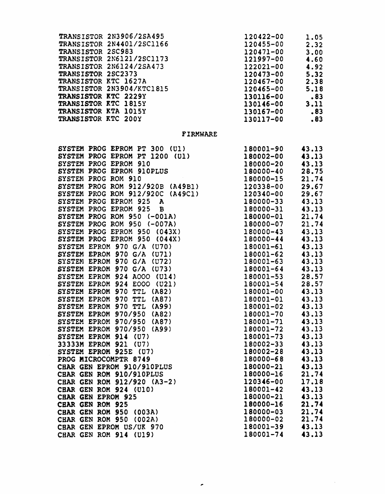| <b>FIRMWARE</b><br>SYSTEM PROG EPROM PT 300 (U1)<br>180001-90<br>SYSTEM PROG EPROM PT 1200 (U1)<br>180002-00<br>SYSTEM PROG EPROM 910<br>180000-20<br>180000-40<br>180000-15<br>SYSTEM PROG EPROM 910PLUS<br>SYSTEM PROG ROM 910<br>SYSTEM PROG ROM 912/920B (A49B1) 120338-00<br>SYSTEM PROG ROM 912/920C (A49C1)<br>SYSTEM PROG EPROM 925 A<br>SYSTEM PROG EPROM 925 B<br>SYSTEM PROG EPROM 925 B<br>SYSTEM PROG ROM 950 (-001A)<br>SYSTEM PROG ROM 950 (-007A)<br>180000-01<br>21.74<br>180000-01<br>21.74<br>180000-01<br>21.74<br>1<br>SYSTEM PROG EPROM 950 (043X)<br>180000-43 43.13<br>SYSTEM PROG EPROM 950 (043A)<br>SYSTEM PROG EPROM 950 (044X)<br>SYSTEM EPROM 970 G/A (U70)<br>SYSTEM EPROM 970 G/A (U71)<br>SYSTEM EPROM 970 G/A (U72)<br>180000-44<br>180001-61<br>180001-62<br>180001-63<br>SYSTEM EPROM 970 G/A (U73)<br>180001-64                                         | TRANSISTOR 2N3906/2SA495<br>TRANSISTOR 2N4401/2SC1166<br>TRANSISTOR 2SC983<br>TRANSISTOR 2N6121/2SC1173<br>TRANSISTOR 2N6121/2SC1173<br>120471-00<br>TRANSISTOR 2N6124/2SA473<br>122021-00<br>TRANSISTOR 2N5124/2SA473<br>120473-00<br>TRANSISTOR | 130117-00 | 2.32<br>3.00<br>4.60<br>4.92<br>5.32<br>2.38<br>5.18<br>$\overline{\phantom{1}}$ .83<br>3.11<br>$\overline{\phantom{1}}$ .83<br>.83                                                                                                                                                                   |
|----------------------------------------------------------------------------------------------------------------------------------------------------------------------------------------------------------------------------------------------------------------------------------------------------------------------------------------------------------------------------------------------------------------------------------------------------------------------------------------------------------------------------------------------------------------------------------------------------------------------------------------------------------------------------------------------------------------------------------------------------------------------------------------------------------------------------------------------------------------------------------------------|---------------------------------------------------------------------------------------------------------------------------------------------------------------------------------------------------------------------------------------------------|-----------|-------------------------------------------------------------------------------------------------------------------------------------------------------------------------------------------------------------------------------------------------------------------------------------------------------|
|                                                                                                                                                                                                                                                                                                                                                                                                                                                                                                                                                                                                                                                                                                                                                                                                                                                                                              |                                                                                                                                                                                                                                                   |           |                                                                                                                                                                                                                                                                                                       |
| SYSTEM EPROM 924 E000 (U21)<br>180001-54<br>SYSTEM EPROM 970 TTL (A82)<br>180001-00<br>SYSTEM EPROM 970 TTL (A87)<br>180001-01<br>SYSTEM EPROM 970 TTL (A99)<br>180001-02<br><b>SYSTEM EPROM 970/950 (A82)</b><br>180001-70<br>SYSTEM EPROM 970/950 (A87)<br>180001-71<br>SYSTEM EPROM 970/950 (A99)<br>180001-72<br>SYSTEM EPROM 914 (U7)<br>180001-73<br>33333M EPROM 921 (U7)<br>180002-33<br>SYSTEM EPROM 925E (U7)<br>180002-28<br>PROG MICROCOMPTR 8749<br>180000-68<br>CHAR GEN EPROM 910/910PLUS<br>180000-21<br>CHAR GEN ROM 910/910PLUS<br>180000-16<br>CHAR GEN ROM 912/920 (A3-2)<br>120346-00<br>CHAR GEN ROM 924 (U10)<br>180001-42<br>180000-21<br><b>CHAR GEN EPROM 925</b><br>180000-16<br>CHAR GEN ROM 925<br>180000-03<br>CHAR GEN ROM 950 (003A)<br>180000-02<br>CHAR GEN ROM 950 (002A)<br>180001-39<br>CHAR GEN EPROM US/UK 970<br>180001-74<br>CHAR GEN ROM 914 (U19) | SYSTEM EPROM 924 A000 (U14)                                                                                                                                                                                                                       | 180001-53 | 43.13<br>43.13<br>43.13<br>28.75<br>21.74<br>29.67<br>43.13<br>43.13<br>43.13<br>43.13<br>43.13<br>28.57<br>28.57<br>43.13<br>43.13<br>43.13<br>43.13<br>43.13<br>43.13<br>43.13<br>43.13<br>43.13<br>43.13<br>43.13<br>21.74<br>17.18<br>43.13<br>43.13<br>21.74<br>21.74<br>21.74<br>43.13<br>43.13 |

 $\mathcal{L}(\mathcal{A})$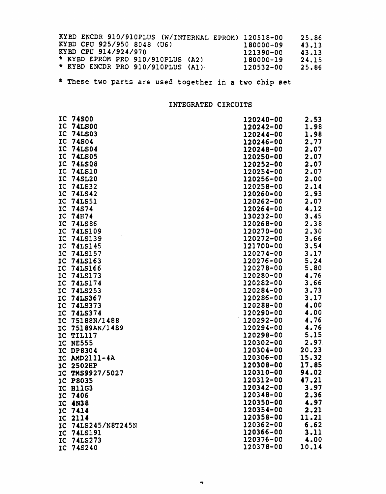|  |                      |                                    |  | KYBD ENCDR 910/910PLUS (W/INTERNAL EPROM) 120518-00 | 25.86 |
|--|----------------------|------------------------------------|--|-----------------------------------------------------|-------|
|  |                      | KYBD CPU 925/950 8048 (U6)         |  | 180000-09                                           | 43.13 |
|  | KYBD CPU 914/924/970 |                                    |  | 121390-00                                           | 43.13 |
|  |                      | * KYBD EPROM PRO 910/910PLUS (A2)  |  | 180000-19                                           | 24.15 |
|  |                      | * KYBD ENCDR PRO 910/910PLUS (A1). |  | 120532-00                                           | 25.86 |

\* These two parts are used together in a two chip set

# INTEGRATED CIRCUITS

|                | IC 74S00        | 120240-00 | 2.53  |
|----------------|-----------------|-----------|-------|
| IC             | <b>74LS00</b>   | 120242-00 | 1.98  |
| IC             | <b>74LS03</b>   | 120244-00 | 1.98  |
| $_{\text{IC}}$ | <b>74S04</b>    | 120246-00 | 2.77  |
| IC             | <b>74LS04</b>   | 120248-00 | 2.07  |
|                |                 |           |       |
| IC             | <b>74LS05</b>   | 120250-00 | 2.07  |
| $_{\text{IC}}$ | <b>74LSQ8</b>   | 120252-00 | 2.07  |
| IC             | <b>74LS10</b>   | 120254-00 | 2.07  |
| IC             | <b>74SL20</b>   | 120256-00 | 2.00  |
| IC             | <b>74LS32</b>   | 120258-00 | 2.14  |
| IC             | <b>74LS42</b>   | 120260-00 | 2.93  |
| IC             | <b>74LS51</b>   | 120262-00 | 2.07  |
| IC             | 74S74           | 120264-00 | 4.12  |
| IC             | <b>74H74</b>    | 130232-00 | 3.45  |
| IC             | <b>74LS86</b>   | 120268-00 | 2.38  |
| IC             | <b>74LS109</b>  | 120270-00 | 2.30  |
| IC             | 74LS139         | 120272-00 | 3.66  |
| IC             | 74LS145         | 121700-00 | 3.54  |
| IC             | 74LS157         | 120274-00 | 3.17  |
| IC             | <b>74LS163</b>  | 120276-00 | 5.24  |
| IC             | <b>74LS166</b>  | 120278-00 | 5.80  |
|                |                 | 120280-00 | 4.76  |
| IC             | 74LS173         |           |       |
| IC             | <b>74LS174</b>  | 120282-00 | 3.66  |
| TC             | <b>74LS253</b>  | 120284-00 | 3.73  |
| IC             | <b>74LS367</b>  | 120286-00 | 3.17  |
| IC             | <b>74LS373</b>  | 120288-00 | 4.00  |
| IC             | 74LS374         | 120290-00 | 4.00  |
| IC             | 75188N/1488     | 120292-00 | 4.76  |
| IC             | 75189AN/1489    | 120294-00 | 4.76  |
|                | IC TIL117       | 120298-00 | 5.15  |
|                | IC NE555        | 120302-00 | 2.97  |
|                | IC DP8304       | 120304-00 | 20.23 |
|                | IC AMD2111-4A   | 120306-00 | 15.32 |
|                | IC 2502HP       | 120308-00 | 17.85 |
|                | IC TMS9927/5027 | 120310-00 | 94.02 |
|                | <b>IC P8035</b> | 120312-00 | 47.21 |
|                | IC B11G3        | 120342-00 | 3.97  |
|                | IC 7406         | 120348-00 | 2.36  |
|                |                 | 120350-00 | 4.97  |
| IC             | 4N38            | 120354-00 |       |
| IC             | 7414            |           | 2.21  |
| $_{\rm IC}$    | 2114            | 120358-00 | 11.21 |
| IC             | 74LS245/N8T245N | 120362-00 | 6.62  |
| IC             | 74LS191         | 120366-00 | 3.11  |
| IC             | 74LS273         | 120376-00 | 4.00  |
| IC             | 745240          | 120378-00 | 10.14 |

 $\mathcal{L}_{\mathcal{A}}$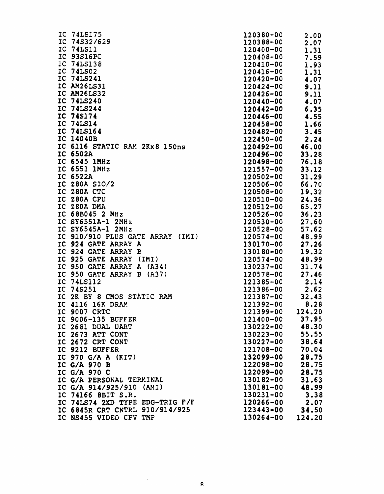| IC 74S32/629<br>IC 74LS11<br>IC 93S16PC<br>IC 74LS138<br>IC 74LS02<br>IC 74LS241<br>IC AM26LS31<br>IC AM26LS32<br>IC 74LS240<br>IC 74LS244<br>IC 74S174<br>IC 74LS14<br>IC 74LS164<br>IC 14040B<br>IC 6116 STATIC RAM 2Kx8 150ns<br>IC 6502A<br>IC 6545 1MHz<br>IC 6551 1MHz<br>IC 6522A<br>IC Z80A SIO/2<br>IC 280A CTC<br>IC Z80A CPU<br>IC Z80A DMA<br>IC 68B045 2 MHz<br>IC SY6551A-1 2MHz<br>IC SY6545A-1 2MHz<br>IC 910/910 PLUS GATE ARRAY (IMI)<br>IC 924 GATE ARRAY A<br>IC 924 GATE ARRAY<br>в<br>IC 925 GATE ARRAY (IMI)<br>IC 950 GATE ARRAY A (A34)<br>IC 950 GATE ARRAY B<br>(A37)<br>IC 74LS112<br>IC<br>74S251<br>IC<br>2K BY 8 CMOS STATIC RAM<br>IC 4116 16K DRAM<br><b>9007 CRTC</b><br>IC<br>IC 9006-135 BUFFER<br>IC 9006-133 BUFFE.<br>IC 2681 DUAL UART<br>IC 2673 ATT CONT<br>IC 2672 CRT CONT<br>IC 9212 BUFFER<br>IC 970 G/A A (KIT)<br>IC G/A 970 B<br>IC G/A 970 C<br>IC G/A PERSONAL TERMINAL<br>IC G/A 914/925/910 (AMI)<br>IC 74166 8BIT S.R. |  |
|------------------------------------------------------------------------------------------------------------------------------------------------------------------------------------------------------------------------------------------------------------------------------------------------------------------------------------------------------------------------------------------------------------------------------------------------------------------------------------------------------------------------------------------------------------------------------------------------------------------------------------------------------------------------------------------------------------------------------------------------------------------------------------------------------------------------------------------------------------------------------------------------------------------------------------------------------------------------------|--|
|                                                                                                                                                                                                                                                                                                                                                                                                                                                                                                                                                                                                                                                                                                                                                                                                                                                                                                                                                                              |  |
|                                                                                                                                                                                                                                                                                                                                                                                                                                                                                                                                                                                                                                                                                                                                                                                                                                                                                                                                                                              |  |
|                                                                                                                                                                                                                                                                                                                                                                                                                                                                                                                                                                                                                                                                                                                                                                                                                                                                                                                                                                              |  |
|                                                                                                                                                                                                                                                                                                                                                                                                                                                                                                                                                                                                                                                                                                                                                                                                                                                                                                                                                                              |  |
|                                                                                                                                                                                                                                                                                                                                                                                                                                                                                                                                                                                                                                                                                                                                                                                                                                                                                                                                                                              |  |
|                                                                                                                                                                                                                                                                                                                                                                                                                                                                                                                                                                                                                                                                                                                                                                                                                                                                                                                                                                              |  |
|                                                                                                                                                                                                                                                                                                                                                                                                                                                                                                                                                                                                                                                                                                                                                                                                                                                                                                                                                                              |  |
|                                                                                                                                                                                                                                                                                                                                                                                                                                                                                                                                                                                                                                                                                                                                                                                                                                                                                                                                                                              |  |
|                                                                                                                                                                                                                                                                                                                                                                                                                                                                                                                                                                                                                                                                                                                                                                                                                                                                                                                                                                              |  |
|                                                                                                                                                                                                                                                                                                                                                                                                                                                                                                                                                                                                                                                                                                                                                                                                                                                                                                                                                                              |  |
|                                                                                                                                                                                                                                                                                                                                                                                                                                                                                                                                                                                                                                                                                                                                                                                                                                                                                                                                                                              |  |
|                                                                                                                                                                                                                                                                                                                                                                                                                                                                                                                                                                                                                                                                                                                                                                                                                                                                                                                                                                              |  |
|                                                                                                                                                                                                                                                                                                                                                                                                                                                                                                                                                                                                                                                                                                                                                                                                                                                                                                                                                                              |  |
|                                                                                                                                                                                                                                                                                                                                                                                                                                                                                                                                                                                                                                                                                                                                                                                                                                                                                                                                                                              |  |
|                                                                                                                                                                                                                                                                                                                                                                                                                                                                                                                                                                                                                                                                                                                                                                                                                                                                                                                                                                              |  |
|                                                                                                                                                                                                                                                                                                                                                                                                                                                                                                                                                                                                                                                                                                                                                                                                                                                                                                                                                                              |  |
|                                                                                                                                                                                                                                                                                                                                                                                                                                                                                                                                                                                                                                                                                                                                                                                                                                                                                                                                                                              |  |
|                                                                                                                                                                                                                                                                                                                                                                                                                                                                                                                                                                                                                                                                                                                                                                                                                                                                                                                                                                              |  |
|                                                                                                                                                                                                                                                                                                                                                                                                                                                                                                                                                                                                                                                                                                                                                                                                                                                                                                                                                                              |  |
|                                                                                                                                                                                                                                                                                                                                                                                                                                                                                                                                                                                                                                                                                                                                                                                                                                                                                                                                                                              |  |
|                                                                                                                                                                                                                                                                                                                                                                                                                                                                                                                                                                                                                                                                                                                                                                                                                                                                                                                                                                              |  |
|                                                                                                                                                                                                                                                                                                                                                                                                                                                                                                                                                                                                                                                                                                                                                                                                                                                                                                                                                                              |  |
|                                                                                                                                                                                                                                                                                                                                                                                                                                                                                                                                                                                                                                                                                                                                                                                                                                                                                                                                                                              |  |
|                                                                                                                                                                                                                                                                                                                                                                                                                                                                                                                                                                                                                                                                                                                                                                                                                                                                                                                                                                              |  |
|                                                                                                                                                                                                                                                                                                                                                                                                                                                                                                                                                                                                                                                                                                                                                                                                                                                                                                                                                                              |  |
|                                                                                                                                                                                                                                                                                                                                                                                                                                                                                                                                                                                                                                                                                                                                                                                                                                                                                                                                                                              |  |
|                                                                                                                                                                                                                                                                                                                                                                                                                                                                                                                                                                                                                                                                                                                                                                                                                                                                                                                                                                              |  |
|                                                                                                                                                                                                                                                                                                                                                                                                                                                                                                                                                                                                                                                                                                                                                                                                                                                                                                                                                                              |  |
|                                                                                                                                                                                                                                                                                                                                                                                                                                                                                                                                                                                                                                                                                                                                                                                                                                                                                                                                                                              |  |
|                                                                                                                                                                                                                                                                                                                                                                                                                                                                                                                                                                                                                                                                                                                                                                                                                                                                                                                                                                              |  |
|                                                                                                                                                                                                                                                                                                                                                                                                                                                                                                                                                                                                                                                                                                                                                                                                                                                                                                                                                                              |  |
|                                                                                                                                                                                                                                                                                                                                                                                                                                                                                                                                                                                                                                                                                                                                                                                                                                                                                                                                                                              |  |
|                                                                                                                                                                                                                                                                                                                                                                                                                                                                                                                                                                                                                                                                                                                                                                                                                                                                                                                                                                              |  |
|                                                                                                                                                                                                                                                                                                                                                                                                                                                                                                                                                                                                                                                                                                                                                                                                                                                                                                                                                                              |  |
|                                                                                                                                                                                                                                                                                                                                                                                                                                                                                                                                                                                                                                                                                                                                                                                                                                                                                                                                                                              |  |
|                                                                                                                                                                                                                                                                                                                                                                                                                                                                                                                                                                                                                                                                                                                                                                                                                                                                                                                                                                              |  |
|                                                                                                                                                                                                                                                                                                                                                                                                                                                                                                                                                                                                                                                                                                                                                                                                                                                                                                                                                                              |  |
|                                                                                                                                                                                                                                                                                                                                                                                                                                                                                                                                                                                                                                                                                                                                                                                                                                                                                                                                                                              |  |
|                                                                                                                                                                                                                                                                                                                                                                                                                                                                                                                                                                                                                                                                                                                                                                                                                                                                                                                                                                              |  |
|                                                                                                                                                                                                                                                                                                                                                                                                                                                                                                                                                                                                                                                                                                                                                                                                                                                                                                                                                                              |  |
|                                                                                                                                                                                                                                                                                                                                                                                                                                                                                                                                                                                                                                                                                                                                                                                                                                                                                                                                                                              |  |
|                                                                                                                                                                                                                                                                                                                                                                                                                                                                                                                                                                                                                                                                                                                                                                                                                                                                                                                                                                              |  |
|                                                                                                                                                                                                                                                                                                                                                                                                                                                                                                                                                                                                                                                                                                                                                                                                                                                                                                                                                                              |  |
|                                                                                                                                                                                                                                                                                                                                                                                                                                                                                                                                                                                                                                                                                                                                                                                                                                                                                                                                                                              |  |
|                                                                                                                                                                                                                                                                                                                                                                                                                                                                                                                                                                                                                                                                                                                                                                                                                                                                                                                                                                              |  |
|                                                                                                                                                                                                                                                                                                                                                                                                                                                                                                                                                                                                                                                                                                                                                                                                                                                                                                                                                                              |  |
|                                                                                                                                                                                                                                                                                                                                                                                                                                                                                                                                                                                                                                                                                                                                                                                                                                                                                                                                                                              |  |
|                                                                                                                                                                                                                                                                                                                                                                                                                                                                                                                                                                                                                                                                                                                                                                                                                                                                                                                                                                              |  |
| IC 74LS74 2XD TYPE EDG-TRIG F/F                                                                                                                                                                                                                                                                                                                                                                                                                                                                                                                                                                                                                                                                                                                                                                                                                                                                                                                                              |  |
| IC 6845R CRT CNTRL 910/914/925                                                                                                                                                                                                                                                                                                                                                                                                                                                                                                                                                                                                                                                                                                                                                                                                                                                                                                                                               |  |
| IC NS455 VIDEO CPV TMP                                                                                                                                                                                                                                                                                                                                                                                                                                                                                                                                                                                                                                                                                                                                                                                                                                                                                                                                                       |  |

| 120380-00 | 00.           |
|-----------|---------------|
| 120388-00 |               |
|           | .07           |
| 120400-00 | .31<br>ı      |
| 120408-00 |               |
|           | .59<br>7      |
| 120410-00 | .93<br>1      |
| 120416-00 |               |
|           | .31<br>ı      |
| 120420-00 | 4.07          |
| 120424-00 | .11<br>9      |
|           |               |
| 120426-00 | 9.11          |
| 120440-00 | 4.07          |
|           |               |
| 120442-00 | 6.35          |
| 120446-00 | 4.55          |
|           |               |
| 120458-00 | 1.66          |
| 120482-00 | 3.45          |
|           |               |
| 122450-00 | .24<br>2      |
| 120492-00 | 46.00         |
|           |               |
| 120496-00 | 33<br>.28     |
| 120498-00 | 76.18         |
| 121557-00 | 33.12         |
|           |               |
| 120502-00 | 31<br>.29     |
| 120506-00 | 66<br>.70     |
|           |               |
| 120508-00 | 19.32         |
| 120510-00 | 24.36         |
|           |               |
| 120512-00 | 65.27         |
| 120526-00 | 36.23         |
|           |               |
| 120530-00 | 2<br>7<br>.60 |
| 120528-00 | 57<br>.62     |
| 120574-00 | 48<br>99      |
|           |               |
| 130170-00 | 2<br>7.26     |
| 130180-00 | 19.<br>32     |
|           |               |
| 120574-00 | 99<br>48.     |
| 130237-00 | 31<br>74      |
|           |               |
| 120578-00 | 27.46         |
| 121385-00 | 14<br>2       |
|           |               |
| 121386-00 | .62<br>2      |
| 121387-00 | 32.43         |
| 121392-00 | 8.28          |
|           |               |
| 121399-00 | 124.20        |
| 121400-00 | 37.95         |
|           |               |
| 130222-00 | 48.30         |
| 130223-00 | 55.55         |
|           |               |
| 130227-00 | 38.64         |
| 121708-00 | 70.04         |
| 132099-00 | 28.75         |
|           |               |
| 122098-00 | 28.75         |
| 122099-00 | 28.75         |
|           |               |
| 130182-00 | 31.63         |
| 130181-00 | 48.99         |
|           |               |
| 130231-00 | 3.38          |
| 120266-00 | 2.07          |
| 123443-00 | 34.50         |
|           |               |
| 130264-00 | 124.20        |

 $\bar{\gamma}$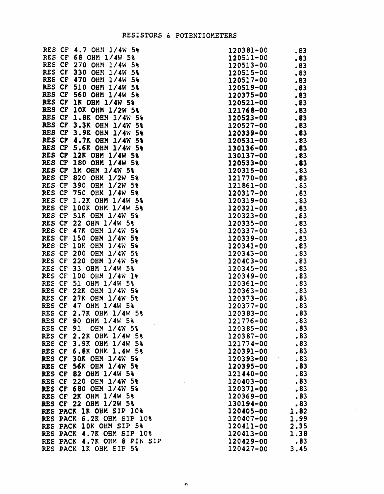### RESISTORS & POTENTIOMETERS

RES CF 4.7 OHM *1/4W 5%*  RES CF 68 OHM *1/4W 5%*  RES CF 270 OHM 1/4W 5% RES CF 330 OHM  $1/4W$  5% RES CF 470 OHN 1/4W 5% RES CF 510 081'1 *1/4W 5%*  RES CF 560 OHM *1/4W 5%*  RES CF 1K OHM *1/4W 5\*  RES CF 10K OHM 1/2W 5% RES CF 1.8K OHM 1/4W 5% RES CF 3.3K OHM 1/4W 5% RES CF 3.9K OHM 1/4W 5% RES CF 4.7K OHM *1/4W* 5\ RES CF 5.6K OHM *1/4W 5%*  RES CF 12K OHM *1/4W 5%*  RES CF 180 OHM *1/4W 5%*  RES CF 1M OHM 1/4W 5% RES CF 820 OHM 1/2W 5% RES CF 390 OHM *1/2W 5%*  RES CF 750 OHM *1/4W 5%*  RES CF 1.2K OHM 1/4W 5% RES CF lOOK OHM *1/4W 5%*  RES CF SIR OHM *1/4W 5%*  RES CF 22 OHM *1/4W 5%*  RES CF 47K OHM *1/4\01 5%*  RES CF 150 OHM *1/4W 5%*  RES CF 10K OHM 1/4W 5% RES CF 200 OHM *1/4W 5%*  RES CF 220 OHM *1/4W 5%*  RES CF 33 OHM *1/4W 5%*  RES CF 100 OHM *1/4W 1%*  RES CF 51 OHM *1/4W 5%*  RES CF 22K OHM *1/4W 5%*  RES CF 27K OHM *1/4W 5%*  RES CF 47 OHM *1/4W 5%*  RES CF 2.7K OHM *1/4W 5%*  RES CF 90 OEM 1/4W 5% RES CF 91 OHM *1/4W 5%*  RES CF 2.2K OHM *1/4W 5%*  RES CF 3.9K OHM *1/4W 5%*  RES CF 6.8K OHM 1.4W 5% RES CF 30K OHM 1/4W 5% RES CF 56K OHM 1/4W 5% RES CF 82 OHM *1/4W 5%*  RES CF 220 OEM *1/4W 5%*  RES CF 680 OHM 1/4W 5% RES CF 2K OHM *1/4W 5%*  RES CF 22 OHM *1/2W 5%*  RES PACK 1K OHM SIP 10% RES PACK 6.2K OHM SIP 10% RES PACK 10K OHM SIP 5% RES PACK 4.7K OHM SIP 10% RES PACK 4.7K OHM 8 PIN SIP RES PACK lK OHM SIP 5%

| 120381-00                     | . 83            |
|-------------------------------|-----------------|
| 12051<br>1-00                 | 83              |
| 12051<br>3-00                 | 83              |
| 120515-00                     | .83             |
| 120517-00                     | . 83            |
| 120519-00                     | . 83            |
| 120375-00                     | .83             |
| 120521-00                     | . 83            |
| 121768-00                     | .83             |
| 120523-00                     | .83             |
| 120527-00                     | . 83            |
| 120339-00                     | .83             |
| 120531-00                     | .83             |
| 30136-00<br>ı                 | . 83            |
| 130137-00                     | .83             |
| 120533-00                     | . 83            |
| 120315-00                     | 83              |
| 121770-00                     | .83             |
| 121861-00                     | .83             |
| 120317-00                     | .83             |
| 120319-00                     | 83              |
| 120321-00                     | .83             |
| 120323-00                     | .83             |
| 120335-00                     | 83              |
| 120337-00                     | 83              |
| 120339-00                     | .83             |
| 120341-00                     | 83              |
| 120343-00                     | 83              |
| 120403-00                     | 83              |
| 120345-00                     | 83<br>$\bullet$ |
| 120349-00                     | 83              |
| 120361-00                     | 83              |
| 120363-00                     | 83              |
| 120373-00                     | 83              |
| 120377<br>-00                 | 83              |
| 120383-00                     | .83             |
| 121776-00                     | 83              |
| 120385-00                     | .83             |
| 120387-00                     | .83             |
| 121774-00                     | .83             |
| 120391-00                     | .83             |
| 120393-00                     | .83             |
| 120395-00                     | .83             |
| 121440-00                     | .83             |
| 120403-00                     | .83             |
| <b>120371-00</b>              | .83             |
| 120369-00                     | .83             |
| 130194-00<br><b>120405-00</b> | .83<br>.82      |
| 120407-00                     | ı<br>1.99       |
| 120411-00                     | 2.35            |
| 120413-00                     | 1.38            |
| <b>120429-00</b>              | .83             |
| 120427-00                     | 3.45            |
|                               |                 |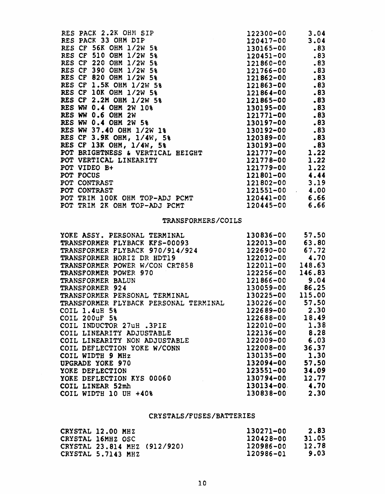| RES PACK 2.2K OHM SIP            | 122300-00                               | 3.04 |
|----------------------------------|-----------------------------------------|------|
| RES PACK 33 OHM DIP              | 120417-00                               | 3.04 |
| RES CF 56K OHM 1/2W 5%           | 130165-00                               | .83  |
| RES CF 510 OHM 1/2W 5%           | 120451-00                               | .83  |
| RES CF 220 OHM 1/2W 5%           | 121860-00                               | .83  |
| RES CF 390 OHM 1/2W 5%           | 121766-00                               | .83  |
| RES CF 820 OHM 1/2W 5%           | 121862-00                               | .83  |
| RES CF 1.5K OHM 1/2W 5%          | 121863-00                               | .83  |
| RES CF 10K OHM 1/2W 5%           | 121864-00                               | .83  |
| RES CF 2.2M OHM 1/2W 5%          | 121865-00                               | .83  |
| RES WW 0.4 OHM 2W 10%            | 130195-00                               | .83  |
| RES WW 0.6 OHM 2W                | 121771-00                               | .83  |
| RES WW 0.4 OHM 2W 5%             | 130197-00                               | .83  |
| RES WW 37.40 OHM 1/2W 1%         | 130192-00                               | .83  |
| RES CF 3.9K OHM, 1/4W, 5%        | 120389-00                               | .83  |
| RES CF 13K OHM, 1/4W, 5%         | 130193-00                               | .83  |
| POT BRIGHTNESS & VERTICAL HEIGHT | 121777-00                               | 1.22 |
| POT VERTICAL LINEARITY           | 121778-00                               | 1.22 |
| POT VIDEO B+                     | 121779-00                               | 1.22 |
| POT FOCUS                        | 121801-00                               | 4.44 |
| POT CONTRAST                     | 121802-00                               | 3.19 |
| POT CONTRAST                     | 121551-00<br>$\mathcal{L}^{\text{max}}$ | 4.00 |
| POT TRIM 100K OHM TOP-ADJ PCMT   | 120441-00                               | 6.66 |
| POT TRIM 2K OHM TOP-ADJ PCMT     | 120445-00                               | 6.66 |

# TRANSFORMERS/COILS

| YOKE ASSY. PERSONAL TERMINAL          | 130836-00          | 57.50  |
|---------------------------------------|--------------------|--------|
| TRANSFORMER FLYBACK KFS-00093         | 122013-00          | 63.80  |
| TRANSFORMER FLYBACK 970/914/924       | 122690-00 67.72    |        |
| TRANSFORMER HORIZ DR HDT19            | 122012-00          | 4.70   |
| TRANSFORMER POWER W/CON CRT858        | 122011-00          | 148.63 |
| TRANSFORMER POWER 970                 | 122256-00          | 146.83 |
| TRANSFORMER BALUN                     | 121866-00          | 9.04   |
| TRANSFORMER 924                       | 130059-00 86.25    |        |
| TRANSFORMER PERSONAL TERMINAL         | 130225-00 115.00   |        |
| TRANSFORMER FLYBACK PERSONAL TERMINAL | 130226-00 57.50    |        |
| COIL 1.4uH 5%                         | 122689-00 2.30     |        |
| <b>COIL 200uF 5%</b>                  | 122688-00          | 18.49  |
| COIL INDUCTOR 27uH.3PIE               | 122010-00 1.38     |        |
| COIL LINEARITY ADJUSTABLE             | $122136 - 00$ 8.28 |        |
| COIL LINEARITY NON ADJUSTABLE         | 122009-00          | 6.03   |
| COIL DEFLECTION YOKE W/CONN           | 122008-00          | 36.37  |
| COIL WIDTH 9 MHz                      | 130135-00          | 1.30   |
| UPGRADE YOKE 970                      | 132094-00          | 57.50  |
| YOKE DEFLECTION                       | 123551-00          | 34.09  |
| YOKE DEFLECTION KYS 00060             | 130794-00          | 12.77  |
| COIL LINEAR 52mh                      | $130134 - 00$ 4.70 |        |
| COIL WIDTH 10 UH +40%                 | 130838-00          | 2.30   |

# CRYSTALS/FUSES/BATTERIES

| CRYSTAL 12.00 MHZ            | 130271-00 | 2.83  |
|------------------------------|-----------|-------|
| CRYSTAL 16MHZ OSC            | 120428-00 | 31.05 |
| CRYSTAL 23.814 MHZ (912/920) | 120986-00 | 12.78 |
| CRYSTAL 5.7143 MHZ           | 120986-01 | 9.03  |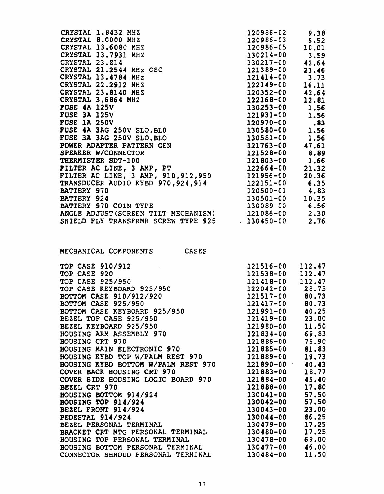| CRYSTAL 1.8432 MHZ                                  | 120986-02      | 9.38  |
|-----------------------------------------------------|----------------|-------|
| CRYSTAL 8.0000 MHZ                                  | 120986-03      | 5.52  |
| CRYSTAL 13.6080 MHZ                                 | 120986-05      | 10.01 |
| CRYSTAL 13.7931 MHZ                                 | 130214-00      | 3.59  |
| CRYSTAL 23.814                                      | 130217-00      | 42.64 |
| CRYSTAL 21.2544 MHz OSC                             | 121389-00      | 23.46 |
| CRYSTAL 13.4784 MHz                                 | 121414-00      | 3.73  |
| CRYSTAL 22.2912 MHZ                                 | 122149-00      | 16.11 |
| CRYSTAL 23.8140 MHZ                                 | 120352-00      | 42.64 |
| CRYSTAL 3.6864 MHZ                                  | 122168-00      | 12.81 |
| <b>FUSE 4A 125V</b>                                 | 130253-00      | 1.56  |
| <b>FUSE 3A 125V</b>                                 | 121931-00      | 1.56  |
| <b>FUSE 1A 250V</b>                                 | 120970-00      | .83   |
| FUSE 4A 3AG 250V SLO.BLO                            | 130580-00 1.56 |       |
| FUSE 3A 3AG 250V SLO.BLO                            | 130581-00      | 1.56  |
| POWER ADAPTER PATTERN GEN                           | 121763-00      | 47.61 |
| SPEAKER W/CONNECTOR                                 | 121528-00      | 8.89  |
| THERMISTER SDT-100                                  | 121803-00      | 1.66  |
| FILTER AC LINE, 3 AMP, PT                           | $122664 - 00$  | 21.32 |
| FILTER AC LINE, 3 AMP, 910, 912, 950                | 121956-00      | 20.36 |
| TRANSDUCER AUDIO KYBD 970,924,914                   | 122151-00      | 6.35  |
| BATTERY 970                                         | 120500-01      | 4.83  |
| <b>BATTERY 924</b>                                  | 130501-00      | 10.35 |
| BATTERY 970 COIN TYPE                               | 130089-00      | 6.56  |
| ANGLE ADJUST (SCREEN TILT MECHANISM) 121086-00 2.30 |                |       |
| SHIELD FLY TRANSFRMR SCREW TYPE 925                 | $130450 - 00$  | 2.76  |

| MECHANICAL COMPONENTS | <b>CASES</b> |
|-----------------------|--------------|
|                       |              |

| TOP CASE 910/912                    | 121516-00           | 112.47 |
|-------------------------------------|---------------------|--------|
| TOP CASE 920                        | 121538-00           | 112.47 |
| TOP CASE 925/950                    | 121418-00 112.47    |        |
| TOP CASE KEYBOARD 925/950           | 122042-00 28.75     |        |
| BOTTOM CASE 910/912/920             | 121517-00 80.73     |        |
| BOTTOM CASE 925/950                 | 121417-00 80.73     |        |
| BOTTOM CASE KEYBOARD 925/950        | $121991 - 00$ 40.25 |        |
| BEZEL TOP CASE 925/950              | 121419-00 23.00     |        |
| BEZEL KEYBOARD 925/950              | 121980-00 11.50     |        |
| <b>HOUSING ARM ASSEMBLY 970</b>     | 121834-00 69.83     |        |
| HOUSING CRT 970                     | 121886-00 75.90     |        |
| <b>HOUSING MAIN ELECTRONIC 970</b>  | 121885-00 81.83     |        |
| HOUSING RYBD TOP W/PALM REST 970    | 121889-00           | 19.73  |
| BOUSING KYBD BOTTOM W/PALM REST 970 | 121890-00 40.43     |        |
| COVER BACK HOUSING CRT 970          | 121883-00           | 18.77  |
| COVER SIDE HOUSING LOGIC BOARD 970  | 121884-00 45.40     |        |
| <b>BEZEL CRT 970</b>                | 121888-00 17.80     |        |
| HOUSING BOTTOM 914/924              | 130041-00 57.50     |        |
| <b>HOUSING TOP 914/924</b>          | $130042 - 00$ 57.50 |        |
| BEZEL FRONT 914/924                 | 130043-00 23.00     |        |
| PEDESTAL 914/924                    | 130044-00 86.25     |        |
| BEZEL PERSONAL TERMINAL             | 130479-00           | 17.25  |
| BRACKET CRT MTG PERSONAL TERMINAL   | 130480-00           | 17.25  |
| HOUSING TOP PERSONAL TERMINAL       | 130478-00           | 69.00  |
| HOUSING BOTTOM PERSONAL TERMINAL    | $130477 - 00$ 46.00 |        |
| CONNECTOR SHROUD PERSONAL TERMINAL  | 130484-00           | 11.50  |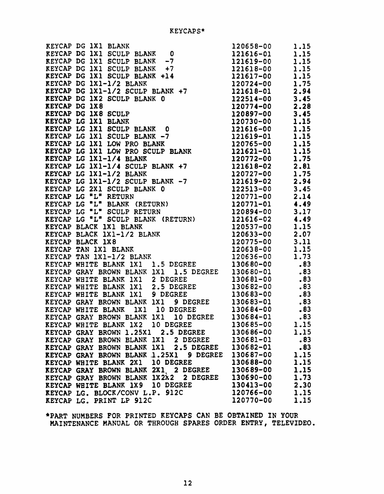|                                                                                                                                                                                                                                                |           | 1.15 |
|------------------------------------------------------------------------------------------------------------------------------------------------------------------------------------------------------------------------------------------------|-----------|------|
|                                                                                                                                                                                                                                                |           | 1.15 |
|                                                                                                                                                                                                                                                |           | 1.15 |
|                                                                                                                                                                                                                                                |           | 1.15 |
|                                                                                                                                                                                                                                                |           | 1.15 |
|                                                                                                                                                                                                                                                |           | 1.75 |
|                                                                                                                                                                                                                                                |           | 2.94 |
|                                                                                                                                                                                                                                                |           | 3.45 |
|                                                                                                                                                                                                                                                |           | 2.28 |
|                                                                                                                                                                                                                                                |           | 3.45 |
| REYCAP DG 1X1 BLANK 120658-00<br>REYCAP DG 1X1 SCULP BLANK 0<br>REYCAP DG 1X1 SCULP BLANK -7<br>REYCAP DG 1X1 SCULP BLANK -7<br>REYCAP DG 1X1 SCULP BLANK +14<br>121618-00<br>REYCAP DG 1X1 -1/2 BLANK +14<br>121618-00<br>REYCAP DG 1X1-1/2 B |           | 1.15 |
|                                                                                                                                                                                                                                                |           | 1.15 |
|                                                                                                                                                                                                                                                |           | 1.15 |
|                                                                                                                                                                                                                                                |           | 1.15 |
|                                                                                                                                                                                                                                                |           | 1.15 |
| ALICAP LG 1X1-1/4 BLANK<br>REYCAP LG 1X1-1/4 SCULP BLANK +7<br>REYCAP LG 1X1-1/2 BLANK<br>REYCAP LG 1X1-1/2 SCULP BLANK 120727-00<br>REYCAP LG 1X1-1/2 SCULP BLANK -7                                                                          |           | 1.75 |
|                                                                                                                                                                                                                                                |           | 2.81 |
|                                                                                                                                                                                                                                                |           | 1.75 |
|                                                                                                                                                                                                                                                |           | 2.94 |
|                                                                                                                                                                                                                                                |           | 3.45 |
|                                                                                                                                                                                                                                                |           | 2.14 |
|                                                                                                                                                                                                                                                |           | 4.49 |
|                                                                                                                                                                                                                                                |           | 3.17 |
| REYCAP LG 1X1-1/2 BLANK 120727-00<br>REYCAP LG 1X1-1/2 SCULP BLANK -7 121619-02<br>REYCAP LG 2X1 SCULP BLANK 0 122513-00<br>REYCAP LG "L" RETURN 120771-01<br>REYCAP LG "L" BLANK (RETURN) 120771-01<br>REYCAP LG "L" SCULP RETURN 12077       |           | 4.49 |
|                                                                                                                                                                                                                                                |           | 1.15 |
|                                                                                                                                                                                                                                                |           | 2.07 |
|                                                                                                                                                                                                                                                |           | 3.11 |
|                                                                                                                                                                                                                                                |           | 1.15 |
|                                                                                                                                                                                                                                                |           | 1.73 |
| <b>KEYCAP WHITE BLANK 1X1 1.5 DEGREE</b>                                                                                                                                                                                                       | 130680-00 | .83  |
| KEYCAP GRAY BROWN BLANK 1X1 1.5 DEGREE 130680-01                                                                                                                                                                                               |           | .83  |
| ALICAP WHITE BLANK 1X1 2 DEGREE 130681-00<br>KEYCAP WHITE BLANK 1X1 2.5 DEGREE 130682-00<br>KEYCAP WHITE BLANK 1V1 A BRANCE 130682-00                                                                                                          |           | .83  |
|                                                                                                                                                                                                                                                |           | .83  |
| KEYCAP WHITE BLANK 1X1 9 DEGREE                                                                                                                                                                                                                | 130683-00 | .83  |
| 9 DEGREE 130683-01<br>KEYCAP GRAY BROWN BLANK 1X1                                                                                                                                                                                              |           | , 83 |
| 1X1 10 DEGREE<br>KEYCAP WHITE BLANK                                                                                                                                                                                                            | 130684-00 | .83  |
| KEYCAP GRAY BROWN BLANK 1X1 10 DEGREE                                                                                                                                                                                                          | 130684-01 | .83  |
| KEYCAP WHITE BLANK 1X2 10 DEGREE                                                                                                                                                                                                               | 130685-00 | 1.15 |
| 2.5 DEGREE<br>KEYCAP GRAY BROWN 1.25X1                                                                                                                                                                                                         | 130686-00 | 1.15 |
| KEYCAP GRAY BROWN BLANK 1X1<br>2 DEGREE                                                                                                                                                                                                        | 130681-01 | .83  |
| KEYCAP GRAY BROWN BLANK 1X1<br>2.5 DEGREE                                                                                                                                                                                                      | 130682-01 | .83  |
| <b>REYCAP GRAY BROWN BLANK 1.25X1</b><br><b>9 DEGREE</b>                                                                                                                                                                                       | 130687-00 | 1.15 |
| <b>KEYCAP WHITE BLANK 2X1</b><br>10 DEGREE                                                                                                                                                                                                     | 130688-00 | 1.15 |
| <b>KEYCAP GRAY BROWN BLANK 2X1 2 DEGREE</b>                                                                                                                                                                                                    | 130689-00 | 1.15 |
| KEYCAP GRAY BROWN BLANK<br>1X <sub>2</sub> X <sub>2</sub><br>2 DEGREE                                                                                                                                                                          | 130690-00 | 1.73 |
| 10 DEGREE<br><b>KEYCAP WHITE BLANK 1X9</b>                                                                                                                                                                                                     | 130413-00 | 2.30 |
| REYCAP LG. BLOCK/CONV L.P. 912C                                                                                                                                                                                                                | 120766-00 | 1.15 |
| KEYCAP LG. PRINT LP 912C                                                                                                                                                                                                                       | 120770-00 | 1.15 |

\*PART NUMBERS FOR PRINTED KEYCAPS CAN BE OBTAINED IN YOUR MAINTENANCE MANUAL OR THROUGH SPARES ORDER ENTRY, TELEVIDEO.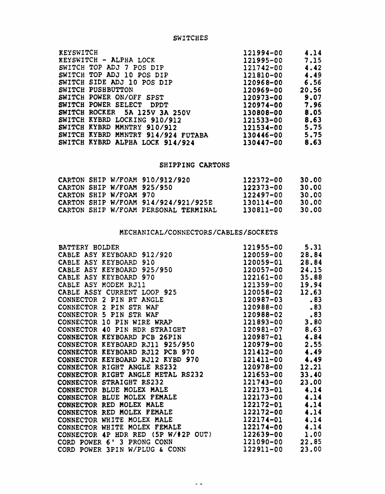SWITCHES

| 121994-00 | 4.14  |
|-----------|-------|
| 121995-00 | 7.15  |
| 121742-00 | 4.42  |
| 121810-00 | 4.49  |
| 120968-00 | 6.56  |
| 120969-00 | 20.56 |
| 120973-00 | 9.07  |
| 120974-00 | 7.96  |
| 130808-00 | 8.05  |
| 121533-00 | 8.63  |
| 121534-00 | 5.75  |
| 130446-00 | 5.75  |
| 130447-00 | 8.63  |
|           |       |

# SHIPPING CARTONS

|  |                        | CARTON SHIP W/FOAM 910/912/920       | 122372-00 | 30.00 |
|--|------------------------|--------------------------------------|-----------|-------|
|  |                        | CARTON SHIP W/FOAM 925/950           | 122373-00 | 30.00 |
|  | CARTON SHIP W/FOAM 970 |                                      | 122497-00 | 30.00 |
|  |                        | CARTON SHIP W/FOAM 914/924/921/925E  | 130114-00 | 30.00 |
|  |                        | CARTON SHIP W/FOAM PERSONAL TERMINAL | 130811-00 | 30.00 |

# MECHANICAL/CONNECTORS/CABLES/SOCKETS

|                                                                                                                                                                                                                                                          | 121955-00 5.31      |       |
|----------------------------------------------------------------------------------------------------------------------------------------------------------------------------------------------------------------------------------------------------------|---------------------|-------|
|                                                                                                                                                                                                                                                          | 120059-00 28.84     |       |
|                                                                                                                                                                                                                                                          | 120059-01           | 28.84 |
|                                                                                                                                                                                                                                                          | $120057 - 00$ 24.15 |       |
|                                                                                                                                                                                                                                                          | 122161-00 35.88     |       |
|                                                                                                                                                                                                                                                          | 121359-00 19.94     |       |
|                                                                                                                                                                                                                                                          | $120058 - 02$ 12.63 |       |
|                                                                                                                                                                                                                                                          | 120987-03           | .83   |
|                                                                                                                                                                                                                                                          | 120988-00           | .83   |
|                                                                                                                                                                                                                                                          | $120988 - 02$ .83   |       |
| BATTERY HOLDER<br>CABLE ASY KEYBOARD 912/920<br>CABLE ASY KEYBOARD 910<br>CABLE ASY KEYBOARD 925/950<br>CABLE ASY KEYBOARD 970<br>CABLE ASY MODEM RJ11<br>CABLE ASY MODEM RJ11<br>CABLE ASSY CURRENT LOOP 925<br>CONNECTOR 2 PIN RT ANGLE<br>CONNECTOR 2 | 121893-00 3.80      |       |
| CONNECTOR 40 PIN HDR STRAIGHT                                                                                                                                                                                                                            | $120981 - 07$ 8.63  |       |
| CONNECTOR KEYBOARD PCB 26PIN                                                                                                                                                                                                                             | $120987 - 01$ 4.84  |       |
| CONNECTOR KEYBOARD RJ11 925/950                                                                                                                                                                                                                          | $120979 - 00$ 2.55  |       |
| CONNECTOR KEYBOARD RJ12 PCB 970                                                                                                                                                                                                                          | $121412 - 00$ 4.49  |       |
| CONNECTOR KEYBOARD RJ12 KYBD 970 121411-00 4.49                                                                                                                                                                                                          |                     |       |
| CONNECTOR RIGHT ANGLE RS232                                                                                                                                                                                                                              | 120978-00 12.21     |       |
| CONNECTOR RIGHT ANGLE METAL RS232                                                                                                                                                                                                                        | $121653 - 00$ 33.40 |       |
| CONNECTOR BLUE MOLEX MALE<br>CONNECTOR BLUE MOLEX FEMALE<br>CONNECTOR RED MOLEX MALE<br>CONNECTOR RED MOLEX FEMALE<br>CONNECTOR RED MOLEX FEMALE                                                                                                         | $121743 - 00$ 23.00 |       |
|                                                                                                                                                                                                                                                          | $122173 - 01$ 4.14  |       |
|                                                                                                                                                                                                                                                          | $122173 - 00$ 4.14  |       |
|                                                                                                                                                                                                                                                          | $122172 - 01$ 4.14  |       |
|                                                                                                                                                                                                                                                          | $122172 - 00$ 4.14  |       |
| CONNECTOR WHITE MOLEX MALE                                                                                                                                                                                                                               | $122174 - 01$ 4.14  |       |
| CONNECTOR WHITE MOLEX FEMALE                                                                                                                                                                                                                             | $122174 - 00$ 4.14  |       |
| CONNECTOR 4P HDR RED (5P W/#2P OUT)                                                                                                                                                                                                                      | $122639 - 00$ 1.00  |       |
| CORD POWER 6' 3 PRONG CONN                                                                                                                                                                                                                               | 121090-00 22.85     |       |
| CORD POWER 3PIN W/PLUG & CONN                                                                                                                                                                                                                            | $122911 - 00$ 23.00 |       |

 $\sim$   $\sim$